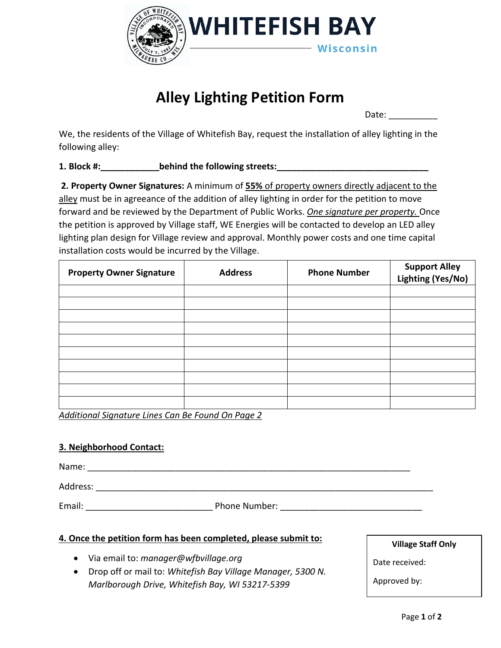

## **Alley Lighting Petition Form**

Date:  $\blacksquare$ 

We, the residents of the Village of Whitefish Bay, request the installation of alley lighting in the following alley:

**1. Block #: behind the following streets:** 

**2. Property Owner Signatures:** A minimum of **55%** of property owners directly adjacent to the alley must be in agreeance of the addition of alley lighting in order for the petition to move forward and be reviewed by the Department of Public Works. *One signature per property.* Once the petition is approved by Village staff, WE Energies will be contacted to develop an LED alley lighting plan design for Village review and approval. Monthly power costs and one time capital installation costs would be incurred by the Village.

| <b>Property Owner Signature</b> | <b>Address</b> | <b>Phone Number</b> | <b>Support Alley</b><br>Lighting (Yes/No) |
|---------------------------------|----------------|---------------------|-------------------------------------------|
|                                 |                |                     |                                           |
|                                 |                |                     |                                           |
|                                 |                |                     |                                           |
|                                 |                |                     |                                           |
|                                 |                |                     |                                           |
|                                 |                |                     |                                           |
|                                 |                |                     |                                           |
|                                 |                |                     |                                           |
|                                 |                |                     |                                           |
|                                 |                |                     |                                           |

*Additional Signature Lines Can Be Found On Page 2*

## **3. Neighborhood Contact:**

Name: \_\_\_\_\_\_\_\_\_\_\_\_\_\_\_\_\_\_\_\_\_\_\_\_\_\_\_\_\_\_\_\_\_\_\_\_\_\_\_\_\_\_\_\_\_\_\_\_\_\_\_\_\_\_\_\_\_\_\_\_\_\_\_\_\_\_

Address: \_\_\_\_\_\_\_\_\_\_\_\_\_\_\_\_\_\_\_\_\_\_\_\_\_\_\_\_\_\_\_\_\_\_\_\_\_\_\_\_\_\_\_\_\_\_\_\_\_\_\_\_\_\_\_\_\_\_\_\_\_\_\_\_\_\_\_\_\_

Email: Email: Email: Email: Phone Number:  $\blacksquare$ 

## **4. Once the petition form has been completed, please submit to:**

- Via email to: *[manager@wfbvillage.org](mailto:manager@wfbvillage.org)*
- Drop off or mail to: *Whitefish Bay Village Manager, 5300 N. Marlborough Drive, Whitefish Bay, WI 53217-5399*

**Village Staff Only**

Date received:

Approved by: